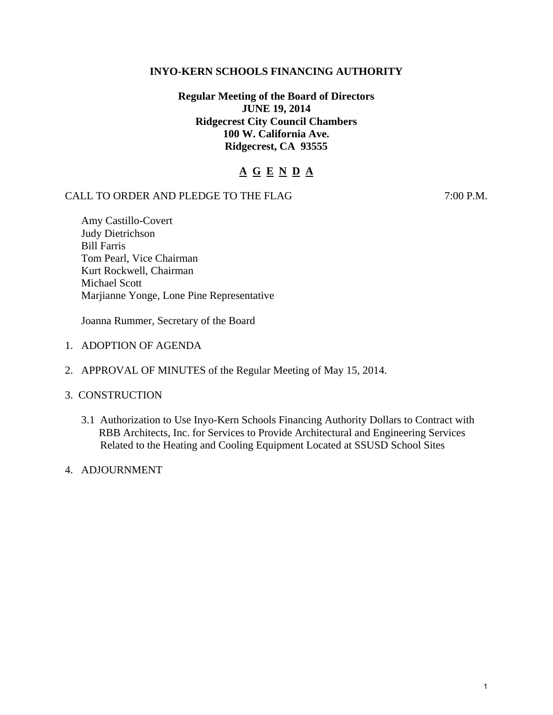## **INYO-KERN SCHOOLS FINANCING AUTHORITY**

# **Regular Meeting of the Board of Directors JUNE 19, 2014 Ridgecrest City Council Chambers 100 W. California Ave. Ridgecrest, CA 93555**

# **A G E N D A**

## CALL TO ORDER AND PLEDGE TO THE FLAG 7:00 P.M.

Amy Castillo-Covert Judy Dietrichson Bill Farris Tom Pearl, Vice Chairman Kurt Rockwell, Chairman Michael Scott Marjianne Yonge, Lone Pine Representative

Joanna Rummer, Secretary of the Board

- 1. ADOPTION OF AGENDA
- 2. APPROVAL OF MINUTES of the Regular Meeting of May 15, 2014.

#### 3. CONSTRUCTION

- 3.1 Authorization to Use Inyo-Kern Schools Financing Authority Dollars to Contract with RBB Architects, Inc. for Services to Provide Architectural and Engineering Services Related to the Heating and Cooling Equipment Located at SSUSD School Sites
- 4. ADJOURNMENT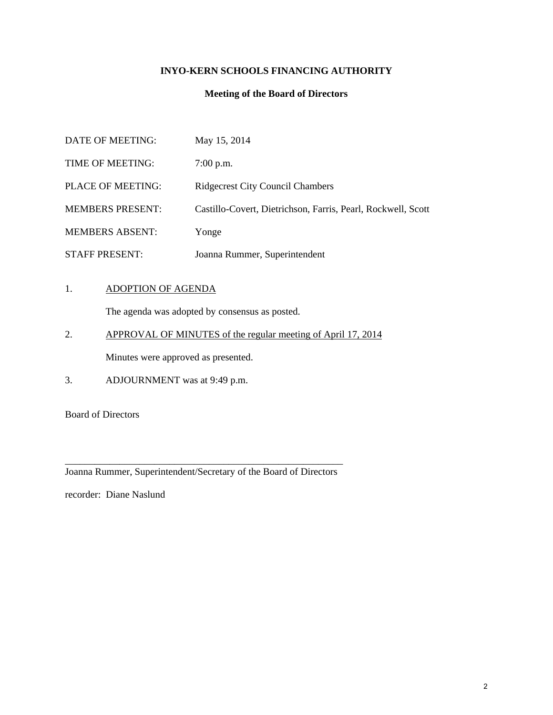# **INYO-KERN SCHOOLS FINANCING AUTHORITY**

#### **Meeting of the Board of Directors**

| DATE OF MEETING:         | May 15, 2014                                                 |
|--------------------------|--------------------------------------------------------------|
| TIME OF MEETING:         | $7:00$ p.m.                                                  |
| <b>PLACE OF MEETING:</b> | <b>Ridgecrest City Council Chambers</b>                      |
| <b>MEMBERS PRESENT:</b>  | Castillo-Covert, Dietrichson, Farris, Pearl, Rockwell, Scott |
| <b>MEMBERS ABSENT:</b>   | Yonge                                                        |
| <b>STAFF PRESENT:</b>    | Joanna Rummer, Superintendent                                |

#### 1. ADOPTION OF AGENDA

The agenda was adopted by consensus as posted.

- 2. APPROVAL OF MINUTES of the regular meeting of April 17, 2014 Minutes were approved as presented.
- 3. ADJOURNMENT was at 9:49 p.m.

Board of Directors

\_\_\_\_\_\_\_\_\_\_\_\_\_\_\_\_\_\_\_\_\_\_\_\_\_\_\_\_\_\_\_\_\_\_\_\_\_\_\_\_\_\_\_\_\_\_\_\_\_\_\_\_\_\_\_\_ Joanna Rummer, Superintendent/Secretary of the Board of Directors

recorder: Diane Naslund